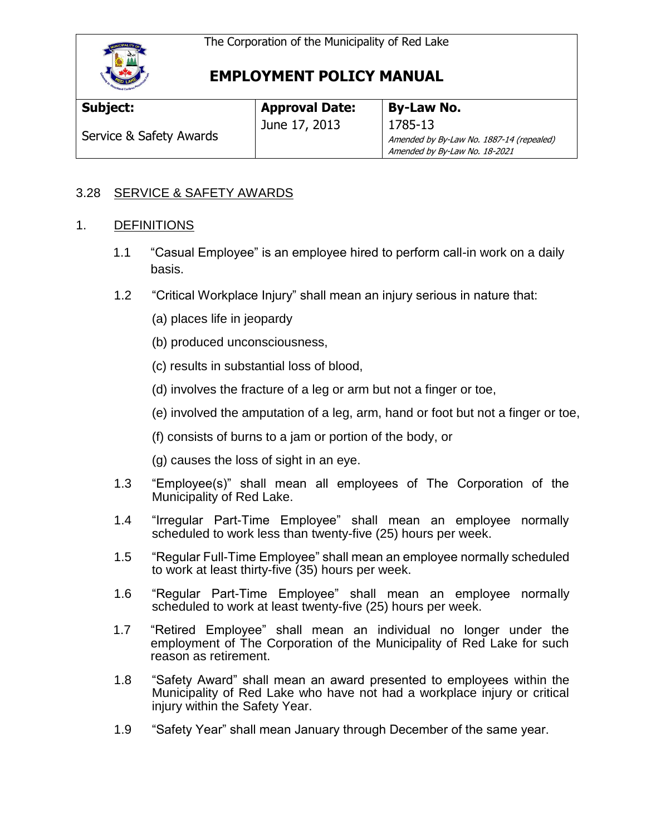

# **EMPLOYMENT POLICY MANUAL**

| Subject:                | <b>Approval Date:</b> | <b>By-Law No.</b>                        |
|-------------------------|-----------------------|------------------------------------------|
| Service & Safety Awards | June 17, 2013         | 1785-13                                  |
|                         |                       | Amended by By-Law No. 1887-14 (repealed) |
|                         |                       | Amended by By-Law No. 18-2021            |

### 3.28 SERVICE & SAFETY AWARDS

### 1. DEFINITIONS

- 1.1 "Casual Employee" is an employee hired to perform call-in work on a daily basis.
- 1.2 "Critical Workplace Injury" shall mean an injury serious in nature that:
	- (a) places life in jeopardy
	- (b) produced unconsciousness,
	- (c) results in substantial loss of blood,
	- (d) involves the fracture of a leg or arm but not a finger or toe,
	- (e) involved the amputation of a leg, arm, hand or foot but not a finger or toe,
	- (f) consists of burns to a jam or portion of the body, or
	- (g) causes the loss of sight in an eye.
- 1.3 "Employee(s)" shall mean all employees of The Corporation of the Municipality of Red Lake.
- 1.4 "Irregular Part-Time Employee" shall mean an employee normally scheduled to work less than twenty-five (25) hours per week.
- 1.5 "Regular Full-Time Employee" shall mean an employee normally scheduled to work at least thirty-five (35) hours per week.
- 1.6 "Regular Part-Time Employee" shall mean an employee normally scheduled to work at least twenty-five (25) hours per week.
- 1.7 "Retired Employee" shall mean an individual no longer under the employment of The Corporation of the Municipality of Red Lake for such reason as retirement.
- 1.8 "Safety Award" shall mean an award presented to employees within the Municipality of Red Lake who have not had a workplace injury or critical injury within the Safety Year.
- 1.9 "Safety Year" shall mean January through December of the same year.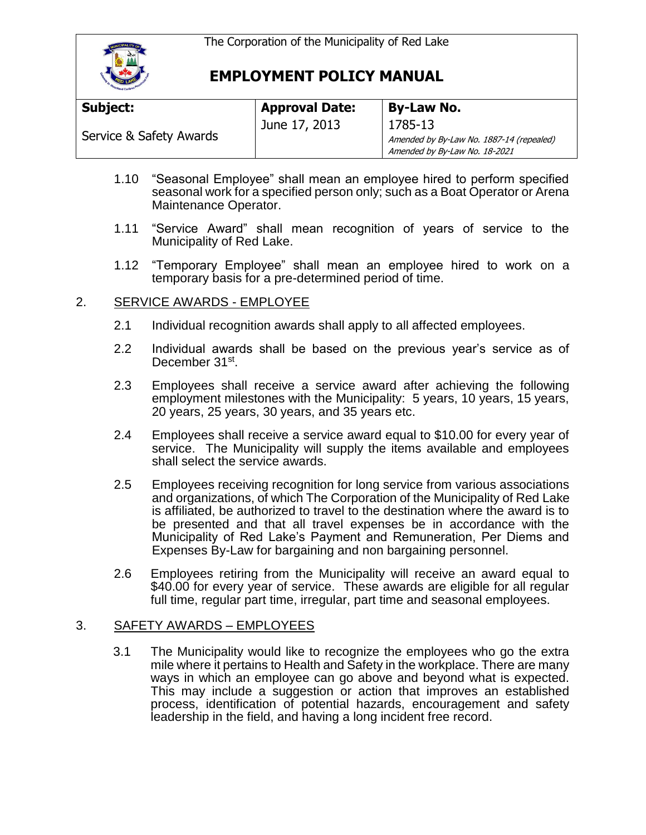The Corporation of the Municipality of Red Lake



## **EMPLOYMENT POLICY MANUAL**

| Subject:                | <b>Approval Date:</b> | <b>By-Law No.</b>                                                         |
|-------------------------|-----------------------|---------------------------------------------------------------------------|
| Service & Safety Awards | June 17, 2013         | 1785-13                                                                   |
|                         |                       | Amended by By-Law No. 1887-14 (repealed)<br>Amended by By-Law No. 18-2021 |

- 1.10 "Seasonal Employee" shall mean an employee hired to perform specified seasonal work for a specified person only; such as a Boat Operator or Arena Maintenance Operator.
- 1.11 "Service Award" shall mean recognition of years of service to the Municipality of Red Lake.
- 1.12 "Temporary Employee" shall mean an employee hired to work on a temporary basis for a pre-determined period of time.

### 2. SERVICE AWARDS - EMPLOYEE

- 2.1 Individual recognition awards shall apply to all affected employees.
- 2.2 Individual awards shall be based on the previous year's service as of December 31st.
- 2.3 Employees shall receive a service award after achieving the following employment milestones with the Municipality: 5 years, 10 years, 15 years, 20 years, 25 years, 30 years, and 35 years etc.
- 2.4 Employees shall receive a service award equal to \$10.00 for every year of service. The Municipality will supply the items available and employees shall select the service awards.
- 2.5 Employees receiving recognition for long service from various associations and organizations, of which The Corporation of the Municipality of Red Lake is affiliated, be authorized to travel to the destination where the award is to be presented and that all travel expenses be in accordance with the Municipality of Red Lake's Payment and Remuneration, Per Diems and Expenses By-Law for bargaining and non bargaining personnel.
- 2.6 Employees retiring from the Municipality will receive an award equal to \$40.00 for every year of service. These awards are eligible for all regular full time, regular part time, irregular, part time and seasonal employees.

#### 3. SAFETY AWARDS – EMPLOYEES

3.1 The Municipality would like to recognize the employees who go the extra mile where it pertains to Health and Safety in the workplace. There are many ways in which an employee can go above and beyond what is expected. This may include a suggestion or action that improves an established process, identification of potential hazards, encouragement and safety leadership in the field, and having a long incident free record.